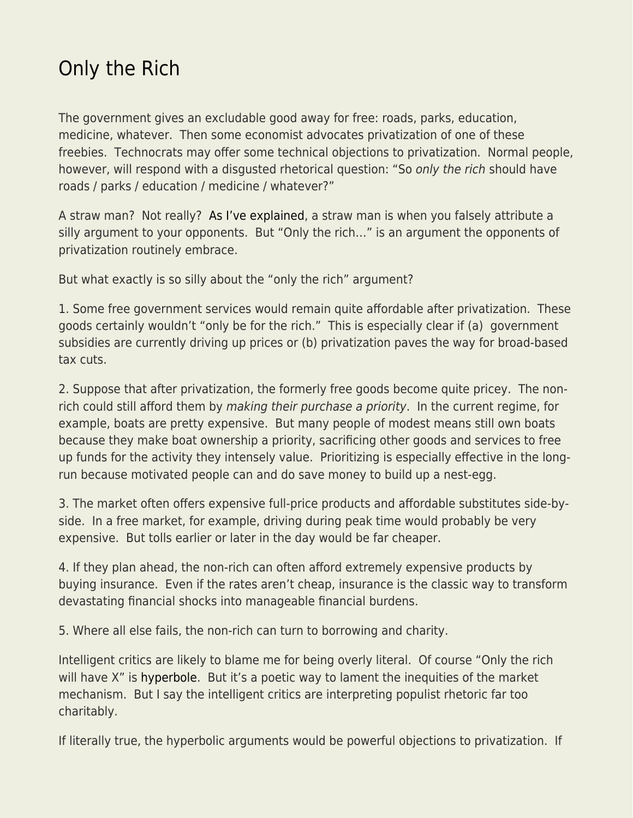## [Only the Rich](https://everything-voluntary.com/only-the-rich)

The government gives an excludable good away for free: roads, parks, education, medicine, whatever. Then some economist advocates privatization of one of these freebies. Technocrats may offer some technical objections to privatization. Normal people, however, will respond with a disgusted rhetorical question: "So only the rich should have roads / parks / education / medicine / whatever?"

A straw man? Not really? [As I've explained,](http://econlog.econlib.org/archives/2015/12/straw_men_rule.html) a straw man is when you falsely attribute a silly argument to your opponents. But "Only the rich…" is an argument the opponents of privatization routinely embrace.

But what exactly is so silly about the "only the rich" argument?

1. Some free government services would remain quite affordable after privatization. These goods certainly wouldn't "only be for the rich." This is especially clear if (a) government subsidies are currently driving up prices or (b) privatization paves the way for broad-based tax cuts.

2. Suppose that after privatization, the formerly free goods become quite pricey. The nonrich could still afford them by making their purchase a priority. In the current regime, for example, boats are pretty expensive. But many people of modest means still own boats because they make boat ownership a priority, sacrificing other goods and services to free up funds for the activity they intensely value. Prioritizing is especially effective in the longrun because motivated people can and do save money to build up a nest-egg.

3. The market often offers expensive full-price products and affordable substitutes side-byside. In a free market, for example, driving during peak time would probably be very expensive. But tolls earlier or later in the day would be far cheaper.

4. If they plan ahead, the non-rich can often afford extremely expensive products by buying insurance. Even if the rates aren't cheap, insurance is the classic way to transform devastating financial shocks into manageable financial burdens.

5. Where all else fails, the non-rich can turn to borrowing and charity.

Intelligent critics are likely to blame me for being overly literal. Of course "Only the rich will have X" is [hyperbole.](http://econlog.econlib.org/archives/2016/09/apolitical_reas.html) But it's a poetic way to lament the inequities of the market mechanism. But I say the intelligent critics are interpreting populist rhetoric far too charitably.

If literally true, the hyperbolic arguments would be powerful objections to privatization. If